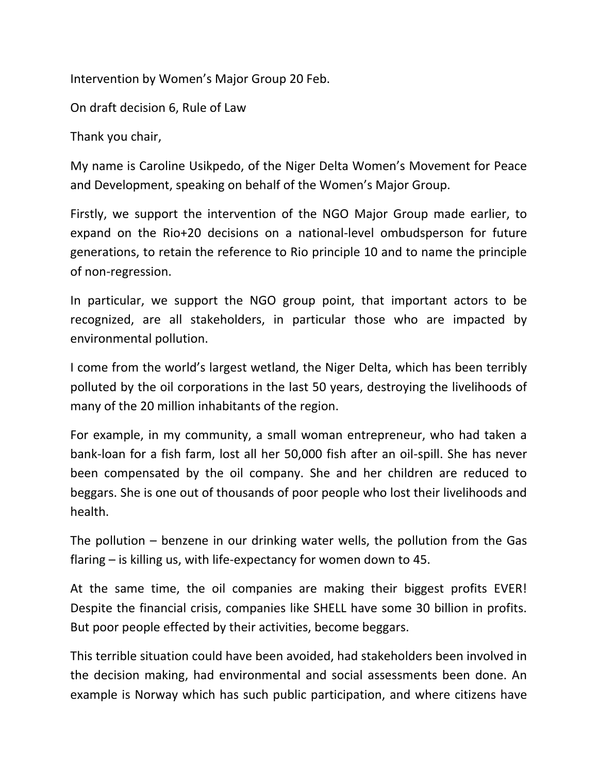Intervention by Women's Major Group 20 Feb.

On draft decision 6, Rule of Law

Thank you chair,

My name is Caroline Usikpedo, of the Niger Delta Women's Movement for Peace and Development, speaking on behalf of the Women's Major Group.

Firstly, we support the intervention of the NGO Major Group made earlier, to expand on the Rio+20 decisions on a national-level ombudsperson for future generations, to retain the reference to Rio principle 10 and to name the principle of non-regression.

In particular, we support the NGO group point, that important actors to be recognized, are all stakeholders, in particular those who are impacted by environmental pollution.

I come from the world's largest wetland, the Niger Delta, which has been terribly polluted by the oil corporations in the last 50 years, destroying the livelihoods of many of the 20 million inhabitants of the region.

For example, in my community, a small woman entrepreneur, who had taken a bank-loan for a fish farm, lost all her 50,000 fish after an oil-spill. She has never been compensated by the oil company. She and her children are reduced to beggars. She is one out of thousands of poor people who lost their livelihoods and health.

The pollution – benzene in our drinking water wells, the pollution from the Gas flaring – is killing us, with life-expectancy for women down to 45.

At the same time, the oil companies are making their biggest profits EVER! Despite the financial crisis, companies like SHELL have some 30 billion in profits. But poor people effected by their activities, become beggars.

This terrible situation could have been avoided, had stakeholders been involved in the decision making, had environmental and social assessments been done. An example is Norway which has such public participation, and where citizens have